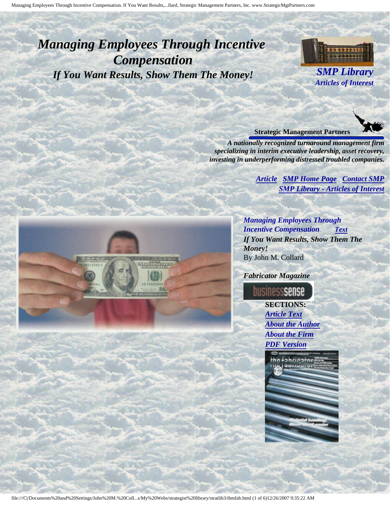# <span id="page-0-4"></span><span id="page-0-3"></span>*Managing Employees Through Incentive Compensation If You Want Results, Show Them The Money! SMP Library*



*Articles of Interest*

**Strategic Management Partners**

*A nationally recognized turnaround management firm specializing in interim executive leadership, asset recovery, investing in underperforming distressed troubled companies.*

> *Managing Employees Through Incentive Compensation [Text](#page-0-1) If You Want Results, Show Them The*

*[Article](#page-0-0) [SMP Home Page](http://members.aol.com/strategist/home.html#TOP) [Contact SMP](#page-4-0) [SMP Library - Articles of Interest](http://members.aol.com/stratlib3/libindx.html#TOP)*

<span id="page-0-2"></span><span id="page-0-0"></span>

*Fabricator Magazine*

By John M. Collard

*Money!*

business**sense** 

**SECTIONS:** *[Article Text](#page-0-1) [About the Author](#page-4-1) [About the Firm](#page-4-2) [PDF Version](http://members.aol.com/stratlib/fm-ibm.pdf)*

> ho fahrieator **UMILLUM OF**

<span id="page-0-1"></span>file:///C|/Documents%20and%20Settings/John%20M.%20Coll...s/My%20Webs/strategist%20library/stratlib3/ibmfab.html (1 of 6)12/26/2007 9:35:22 AM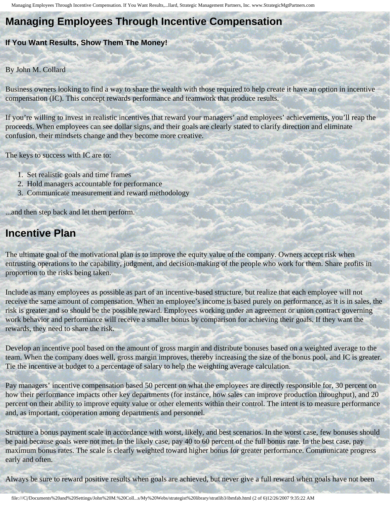Managing Employees Through Incentive Compensation. If You Want Results,...llard, Strategic Management Partners, Inc. www.StrategicMgtPartners.com

# **Managing Employees Through Incentive Compensation**

#### **If You Want Results, Show Them The Money!**

#### By John M. Collard

Business owners looking to find a way to share the wealth with those required to help create it have an option in incentive compensation (IC). This concept rewards performance and teamwork that produce results.

If you're willing to invest in realistic incentives that reward your managers' and employees' achievements, you'll reap the proceeds. When employees can see dollar signs, and their goals are clearly stated to clarify direction and eliminate confusion, their mindsets change and they become more creative.

The keys to success with IC are to:

- 1. Set realistic goals and time frames
- 2. Hold managers accountable for performance
- 3. Communicate measurement and reward methodology

...and then step back and let them perform.

### **Incentive Plan**

The ultimate goal of the motivational plan is to improve the equity value of the company. Owners accept risk when entrusting operations to the capability, judgment, and decision-making of the people who work for them. Share profits in proportion to the risks being taken.

Include as many employees as possible as part of an incentive-based structure, but realize that each employee will not receive the same amount of compensation. When an employee's income is based purely on performance, as it is in sales, the risk is greater and so should be the possible reward. Employees working under an agreement or union contract governing work behavior and performance will receive a smaller bonus by comparison for achieving their goals. If they want the rewards, they need to share the risk.

Develop an incentive pool based on the amount of gross margin and distribute bonuses based on a weighted average to the team. When the company does well, gross margin improves, thereby increasing the size of the bonus pool, and IC is greater. Tie the incentive at budget to a percentage of salary to help the weighting average calculation.

Pay managers' incentive compensation based 50 percent on what the employees are directly responsible for, 30 percent on how their performance impacts other key departments (for instance, how sales can improve production throughput), and 20 percent on their ability to improve equity value or other elements within their control. The intent is to measure performance and, as important, cooperation among departments and personnel.

Structure a bonus payment scale in accordance with worst, likely, and best scenarios. In the worst case, few bonuses should be paid because goals were not met. In the likely case, pay 40 to 60 percent of the full bonus rate. In the best case, pay maximum bonus rates. The scale is clearly weighted toward higher bonus for greater performance. Communicate progress early and often.

Always be sure to reward positive results when goals are achieved, but never give a full reward when goals have not been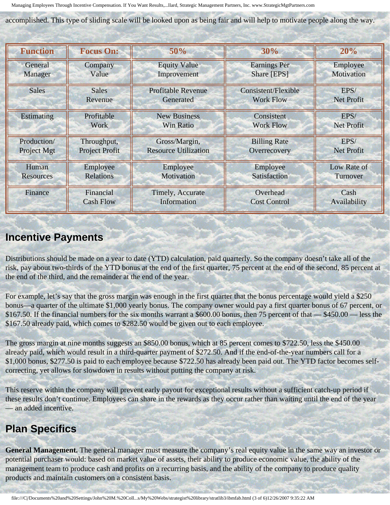accomplished. This type of sliding scale will be looked upon as being fair and will help to motivate people along the way.

| <b>Function</b>   | <b>Focus On:</b>      | 50%                         | 30%                 | 20%               |
|-------------------|-----------------------|-----------------------------|---------------------|-------------------|
| General           | Company               | <b>Equity Value</b>         | <b>Earnings Per</b> | Employee          |
| Manager           | Value                 | Improvement                 | <b>Share [EPS]</b>  | Motivation        |
| <b>Sales</b>      | <b>Sales</b>          | <b>Profitable Revenue</b>   | Consistent/Flexible | EPS/              |
|                   | Revenue               | Generated                   | <b>Work Flow</b>    | <b>Net Profit</b> |
| <b>Estimating</b> | Profitable            | <b>New Business</b>         | Consistent          | EPS/              |
|                   | Work                  | <b>Win Ratio</b>            | <b>Work Flow</b>    | <b>Net Profit</b> |
| Production/       | Throughput,           | Gross/Margin,               | <b>Billing Rate</b> | EPS/              |
| Project Mgt       | <b>Project Profit</b> | <b>Resource Utilization</b> | Overrecovery        | <b>Net Profit</b> |
| Human             | Employee              | Employee                    | Employee            | Low Rate of       |
| <b>Resources</b>  | <b>Relations</b>      | Motivation                  | <b>Satisfaction</b> | Turnover          |
| Finance           | Financial             | Timely, Accurate            | Overhead            | Cash              |
|                   | <b>Cash Flow</b>      | Information                 | <b>Cost Control</b> | Availability      |

### **Incentive Payments**

Distributions should be made on a year to date (YTD) calculation, paid quarterly. So the company doesn't take all of the risk, pay about two-thirds of the YTD bonus at the end of the first quarter, 75 percent at the end of the second, 85 percent at the end of the third, and the remainder at the end of the year.

For example, let's say that the gross margin was enough in the first quarter that the bonus percentage would yield a \$250 bonus—a quarter of the ultimate \$1,000 yearly bonus. The company owner would pay a first quarter bonus of 67 percent, or \$167.50. If the financial numbers for the six months warrant a \$600.00 bonus, then 75 percent of that — \$450.00 — less the \$167.50 already paid, which comes to \$282.50 would be given out to each employee.

The gross margin at nine months suggests an \$850.00 bonus, which at 85 percent comes to \$722.50, less the \$450.00 already paid, which would result in a third-quarter payment of \$272.50. And if the end-of-the-year numbers call for a \$1,000 bonus, \$277.50 is paid to each employee because \$722.50 has already been paid out. The YTD factor becomes selfcorrecting, yet allows for slowdown in results without putting the company at risk.

This reserve within the company will prevent early payout for exceptional results without a sufficient catch-up period if these results don't continue. Employees can share in the rewards as they occur rather than waiting until the end of the year — an added incentive.

# **Plan Specifics**

**General Management.** The general manager must measure the company's real equity value in the same way an investor or potential purchaser would: based on market value of assets, their ability to produce economic value, the ability of the management team to produce cash and profits on a recurring basis, and the ability of the company to produce quality products and maintain customers on a consistent basis.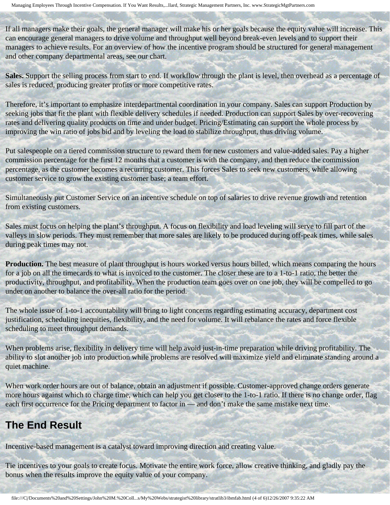If all managers make their goals, the general manager will make his or her goals because the equity value will increase. This can encourage general managers to drive volume and throughput well beyond break-even levels and to support their managers to achieve results. For an overview of how the incentive program should be structured for general management and other company departmental areas, see our chart.

**Sales.** Support the selling process from start to end. If workflow through the plant is level, then overhead as a percentage of sales is reduced, producing greater profits or more competitive rates.

Therefore, it's important to emphasize interdepartmental coordination in your company. Sales can support Production by seeking jobs that fit the plant with flexible delivery schedules if needed. Production can support Sales by over-recovering rates and delivering quality products on time and under budget. Pricing/Estimating can support the whole process by improving the win ratio of jobs bid and by leveling the load to stabilize throughput, thus driving volume.

Put salespeople on a tiered commission structure to reward them for new customers and value-added sales. Pay a higher commission percentage for the first 12 months that a customer is with the company, and then reduce the commission percentage, as the customer becomes a recurring customer. This forces Sales to seek new customers, while allowing customer service to grow the existing customer base; a team effort.

Simultaneously put Customer Service on an incentive schedule on top of salaries to drive revenue growth and retention from existing customers.

Sales must focus on helping the plant's throughput. A focus on flexibility and load leveling will serve to fill part of the valleys in slow periods. They must remember that more sales are likely to be produced during off-peak times, while sales during peak times may not.

**Production.** The best measure of plant throughput is hours worked versus hours billed, which means comparing the hours for a job on all the timecards to what is invoiced to the customer. The closer these are to a 1-to-1 ratio, the better the productivity, throughput, and profitability. When the production team goes over on one job, they will be compelled to go under on another to balance the over-all ratio for the period.

The whole issue of 1-to-1 accountability will bring to light concerns regarding estimating accuracy, department cost justification, scheduling inequities, flexibility, and the need for volume. It will rebalance the rates and force flexible scheduling to meet throughput demands.

When problems arise, flexibility in delivery time will help avoid just-in-time preparation while driving profitability. The ability to slot another job into production while problems are resolved will maximize yield and eliminate standing around a quiet machine.

When work order hours are out of balance, obtain an adjustment if possible. Customer-approved change orders generate more hours against which to charge time, which can help you get closer to the 1-to-1 ratio. If there is no change order, flag each first occurrence for the Pricing department to factor in — and don't make the same mistake next time.

## **The End Result**

Incentive-based management is a catalyst toward improving direction and creating value.

Tie incentives to your goals to create focus. Motivate the entire work force, allow creative thinking, and gladly pay the bonus when the results improve the equity value of your company.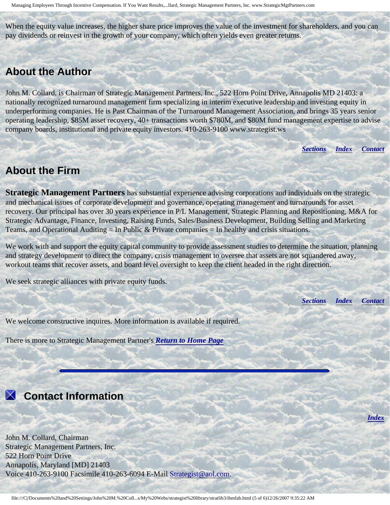When the equity value increases, the higher share price improves the value of the investment for shareholders, and you can pay dividends or reinvest in the growth of your company, which often yields even greater returns.

### <span id="page-4-1"></span>**About the Author**

John M. Collard, is Chairman of Strategic Management Partners, Inc., 522 Horn Point Drive, Annapolis MD 21403: a nationally recognized turnaround management firm specializing in interim executive leadership and investing equity in underperforming companies. He is Past Chairman of the Turnaround Management Association, and brings 35 years senior operating leadership, \$85M asset recovery, 40+ transactions worth \$780M, and \$80M fund management expertise to advise company boards, institutional and private equity investors. 410-263-9100 www.strategist.ws

*[Sections](#page-0-2) [Index](#page-0-3) [Contact](#page-4-0)*

#### <span id="page-4-2"></span>**About the Firm**

**Strategic Management Partners** has substantial experience advising corporations and individuals on the strategic and mechanical issues of corporate development and governance, operating management and turnarounds for asset recovery. Our principal has over 30 years experience in P/L Management, Strategic Planning and Repositioning, M&A for Strategic Advantage, Finance, Investing, Raising Funds, Sales/Business Development, Building Selling and Marketing Teams, and Operational Auditing  $=$  In Public & Private companies  $=$  In healthy and crisis situations.

We work with and support the equity capital community to provide assessment studies to determine the situation, planning and strategy development to direct the company, crisis management to oversee that assets are not squandered away, workout teams that recover assets, and board level oversight to keep the client headed in the right direction.

We seek strategic alliances with private equity funds.

*[Sections](#page-0-2) [Index](#page-0-3) [Contact](#page-4-0)*

*[Index](#page-0-3)*

We welcome constructive inquires. More information is available if required.

There is more to Strategic Management Partner's *[Return to Home Page](http://members.aol.com/strategist/home.html#TOP)*

<span id="page-4-0"></span>

 **Contact Information** 

John M. Collard, Chairman Strategic Management Partners, Inc. 522 Horn Point Drive Annapolis, Maryland [MD] 21403 Voice 410-263-9100 Facsimile 410-263-6094 E-Mail [Strategist@aol.com.](mailto:Strategist@aol.com?subject=SMPlibrary/feature articles)